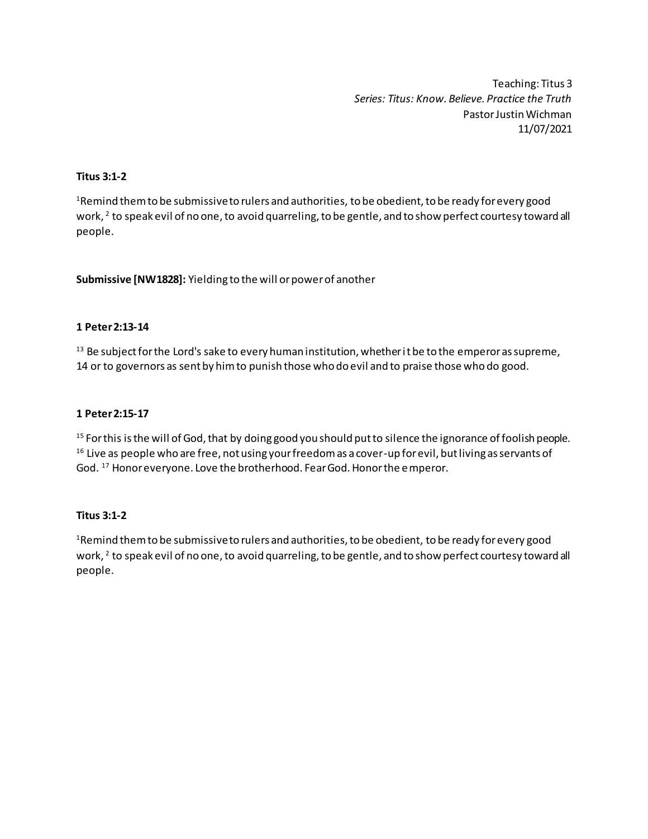Teaching: Titus 3 *Series: Titus: Know. Believe. Practice the Truth* Pastor Justin Wichman 11/07/2021

## **Titus 3:1-2**

<sup>1</sup>Remind them to be submissive to rulers and authorities, to be obedient, to be ready for every good work,  $^2$  to speak evil of no one, to avoid quarreling, to be gentle, and to show perfect courtesy toward all people.

**Submissive [NW1828]:** Yielding to the will or power of another

## **1 Peter 2:13-14**

<sup>13</sup> Be subject for the Lord's sake to every human institution, whether it be to the emperor as supreme, 14 or to governors as sent by him to punish those who do evil and to praise those who do good.

## **1 Peter 2:15-17**

<sup>15</sup> For this is the will of God, that by doing good you should put to silence the ignorance of foolish people. <sup>16</sup> Live as people who are free, not using your freedom as a cover-up for evil, but living as servants of God. <sup>17</sup> Honor everyone. Love the brotherhood. Fear God. Honor the emperor.

## **Titus 3:1-2**

<sup>1</sup> Remind them to be submissive to rulers and authorities, to be obedient, to be ready for every good work,  $^2$  to speak evil of no one, to avoid quarreling, to be gentle, and to show perfect courtesy toward all people.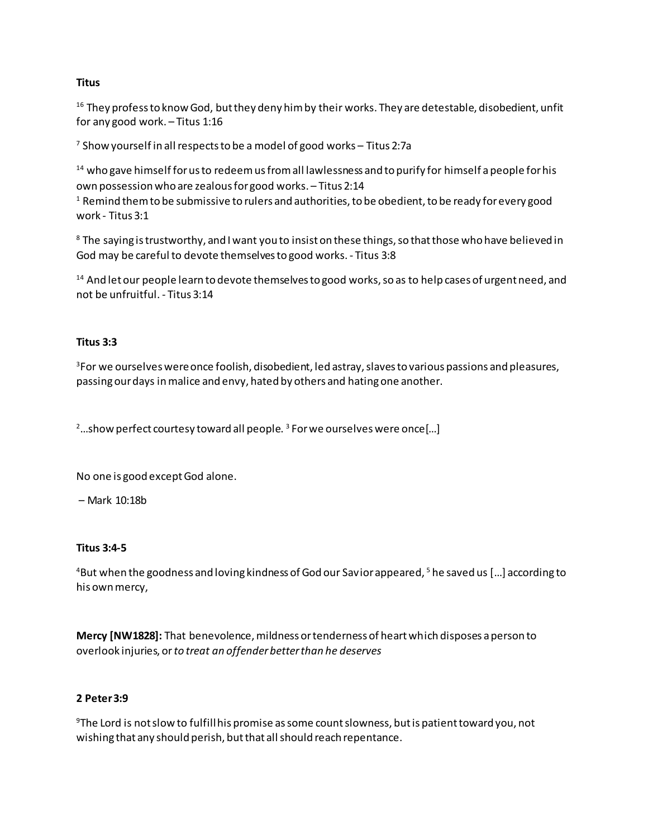## **Titus**

<sup>16</sup> They profess to know God, but they deny him by their works. They are detestable, disobedient, unfit for any good work. – Titus 1:16

<sup>7</sup> Show yourself in all respects to be a model of good works – Titus 2:7a

 $14$  who gave himself for us to redeem us from all lawlessness and to purify for himself a people for his own possession who are zealous for good works. – Titus 2:14

 $1$  Remind them to be submissive to rulers and authorities, to be obedient, to be ready for every good work - Titus 3:1

<sup>8</sup> The saying is trustworthy, and I want you to insist on these things, so that those who have believed in God may be careful to devote themselves to good works. - Titus 3:8

<sup>14</sup> And let our people learn to devote themselves to good works, so as to help cases of urgent need, and not be unfruitful. - Titus 3:14

# **Titus 3:3**

<sup>3</sup>For we ourselves were once foolish, disobedient, led astray, slaves to various passions and pleasures, passing our days in malice and envy, hated by others and hating one another.

<sup>2</sup>...show perfect courtesy toward all people.<sup>3</sup> For we ourselves were once[...]

No one is good except God alone.

– Mark 10:18b

## **Titus 3:4-5**

<sup>4</sup>But when the goodness and loving kindness of God our Savior appeared,  $5$  he saved us [...] according to his own mercy,

**Mercy [NW1828]:** That benevolence, mildness or tenderness of heart which disposes a person to overlook injuries, or *to treat an offender better than he deserves*

# **2 Peter 3:9**

<sup>9</sup>The Lord is not slow to fulfill his promise as some count slowness, but is patient toward you, not wishing that any should perish, but that all should reach repentance.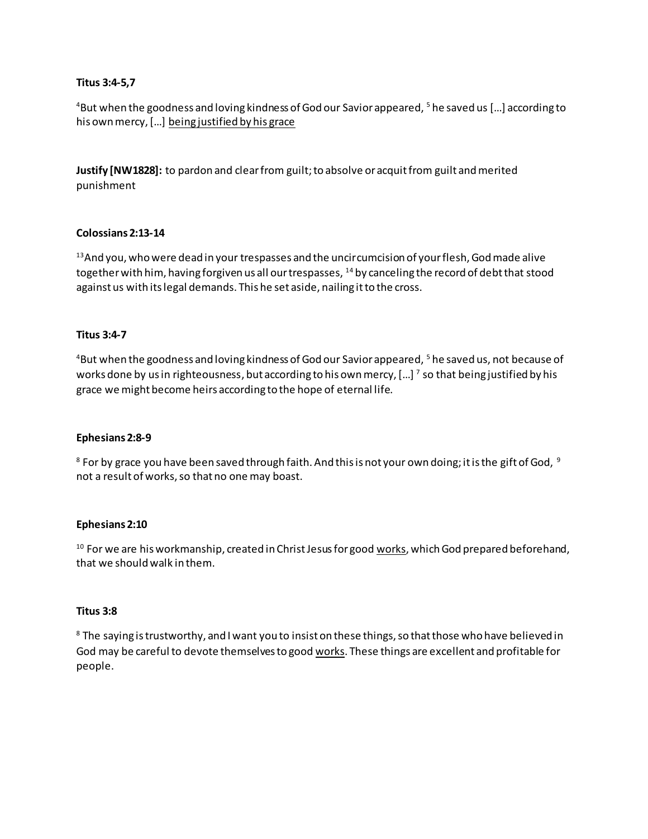## **Titus 3:4-5,7**

<sup>4</sup>But when the goodness and loving kindness of God our Savior appeared, <sup>5</sup> he saved us [...] according to his own mercy, […] being justified by his grace

**Justify [NW1828]:** to pardon and clear from guilt; to absolve or acquit from guilt and merited punishment

### **Colossians 2:13-14**

 $13$ And you, who were dead in your trespasses and the uncircumcision of your flesh, God made alive together with him, having forgiven us all our trespasses, <sup>14</sup> by canceling the record of debt that stood against us with its legal demands. This he set aside, nailing it to the cross.

### **Titus 3:4-7**

<sup>4</sup>But when the goodness and loving kindness of God our Savior appeared, <sup>5</sup> he saved us, not because of works done by us in righteousness, but according to his own mercy, [...]  $^7$  so that being justified by his grace we might become heirs according to the hope of eternal life.

#### **Ephesians 2:8-9**

 $8$  For by grace you have been saved through faith. And this is not your own doing; it is the gift of God,  $9$ not a result of works, so that no one may boast.

#### **Ephesians 2:10**

<sup>10</sup> For we are his workmanship, created in Christ Jesus for good works, which God prepared beforehand, that we should walk in them.

#### **Titus 3:8**

<sup>8</sup> The saying is trustworthy, and I want you to insist on these things, so that those who have believed in God may be careful to devote themselves to good works. These things are excellent and profitable for people.